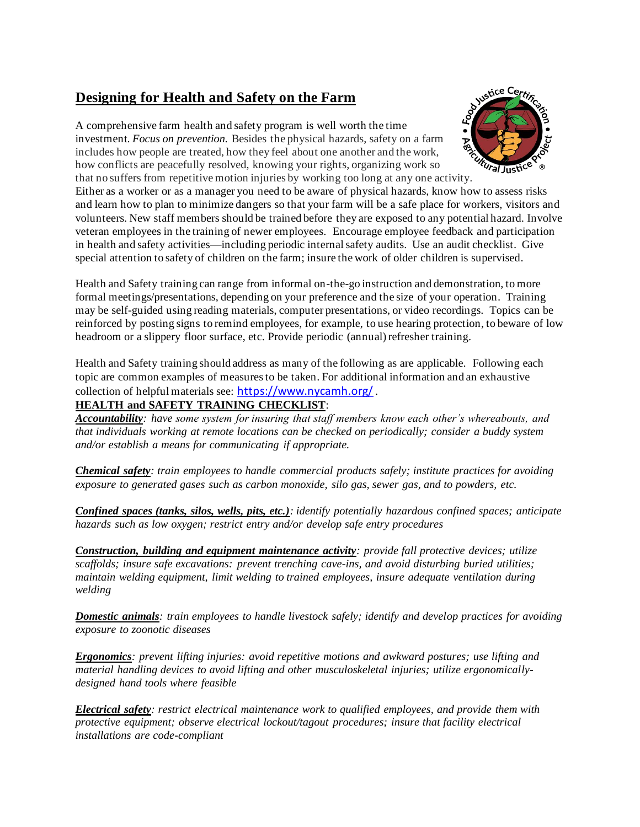## **Designing for Health and Safety on the Farm**

A comprehensive farm health and safety program is well worth the time investment. *Focus on prevention.* Besides the physical hazards, safety on a farm includes how people are treated, how they feel about one another and the work, how conflicts are peacefully resolved, knowing your rights, organizing work so that no suffers from repetitive motion injuries by working too long at any one activity.



Either as a worker or as a manager you need to be aware of physical hazards, know how to assess risks and learn how to plan to minimize dangers so that your farm will be a safe place for workers, visitors and volunteers. New staff members should be trained before they are exposed to any potential hazard. Involve veteran employees in the training of newer employees.Encourage employee feedback and participation in health and safety activities—including periodic internalsafety audits. Use an audit checklist. Give special attention to safety of children on the farm; insure the work of older children is supervised*.*

Health and Safety training can range from informal on-the-go instruction and demonstration, to more formal meetings/presentations, depending on your preference and the size of your operation. Training may be self-guided using reading materials, computer presentations, or video recordings. Topics can be reinforced by posting signs to remind employees, for example, to use hearing protection, to beware of low headroom or a slippery floor surface, etc. Provide periodic (annual) refresher training.

Health and Safety training should address as many of the following as are applicable. Following each topic are common examples of measures to be taken. For additional information and an exhaustive collection of helpful materials see: <https://www.nycamh.org/>.

## **HEALTH and SAFETY TRAINING CHECKLIST**:

*Accountability: have some system for insuring that staff members know each other's whereabouts, and that individuals working at remote locations can be checked on periodically; consider a buddy system and/or establish a means for communicating if appropriate.*

*Chemical safety: train employees to handle commercial products safely; institute practices for avoiding exposure to generated gases such as carbon monoxide, silo gas, sewer gas, and to powders, etc.* 

*Confined spaces (tanks, silos, wells, pits, etc.): identify potentially hazardous confined spaces; anticipate hazards such as low oxygen; restrict entry and/or develop safe entry procedures*

*Construction, building and equipment maintenance activity: provide fall protective devices; utilize scaffolds; insure safe excavations: prevent trenching cave-ins, and avoid disturbing buried utilities; maintain welding equipment, limit welding to trained employees, insure adequate ventilation during welding*

*Domestic animals: train employees to handle livestock safely; identify and develop practices for avoiding exposure to zoonotic diseases*

*Ergonomics: prevent lifting injuries: avoid repetitive motions and awkward postures; use lifting and material handling devices to avoid lifting and other musculoskeletal injuries; utilize ergonomicallydesigned hand tools where feasible*

*Electrical safety: restrict electrical maintenance work to qualified employees, and provide them with protective equipment; observe electrical lockout/tagout procedures; insure that facility electrical installations are code-compliant*